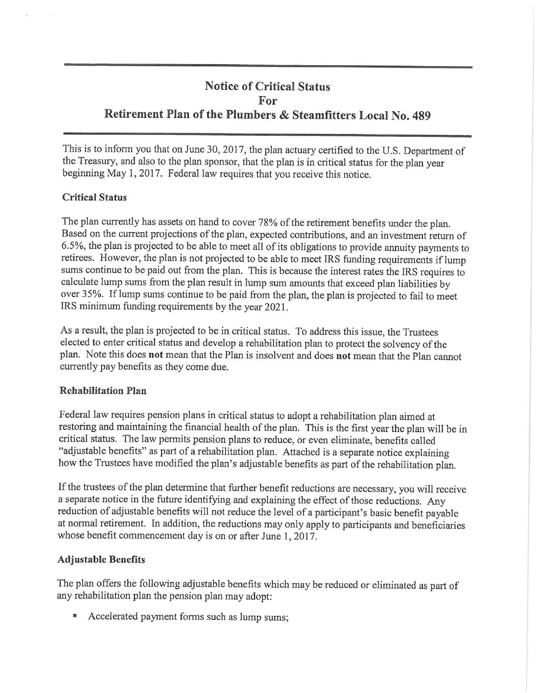# **Notice of Critical Status For Retirement Plan of the Plumbers & Steamfitters Local No. 489**

This is to inform you that on June 30, 2017, the plan actuary certified to the U.S. Department of the Treasury, and also to the plan sponsor, that the plan is in critical status for the plan year beginning May 1, 2017. Federal law requires that you receive this notice.

## **Critical Status**

The plan currently has assets on hand to cover 78% of the retirement benefits under the plan. Based on the current projections of the plan, expected contributions, and an investment return of 6.5%, the plan is projected to be able to meet all of its obligations to provide annuity payments to retirees. However, the plan is not projected to be able to meet IRS funding requirements iflump sums continue to be paid out from the plan. This is because the interest rates the IRS requires to calculate lump sums from the plan result in lump sum amounts that exceed plan liabilities by over 35%. If lump sums continue to be paid from the plan, the plan is projected to fail to meet IRS minimum funding requirements by the year 2021 .

As a result, the plan is projected to be in critical status. To address this issue, the Trustees elected to enter critical status and develop a rehabilitation plan to protect the solvency of the plan. Note this does **not** mean that the Plan is insolvent and does **not** mean that the Plan cannot currently pay benefits as they come due.

## **Rehabilitation Plan**

Federal law requires pension plans in critical status to adopt a rehabilitation plan aimed at restoring and maintaining the financial health of the plan. This is the first year the plan will be in critical status. The law permits pension plans to reduce, or even eliminate, benefits called "adjustable benefits" as part of a rehabilitation plan. Attached is a separate notice explaining how the Trustees have modified the plan's adjustable benefits as part of the rehabilitation plan.

If the trustees of the plan determine that further benefit reductions are necessary, you will receive a separate notice in the future identifying and explaining the effect of those reductions. Any reduction of adjustable benefits will not reduce the level of a participant's basic benefit payable at normal retirement. In addition, the reductions may only apply to participants and beneficiaries whose benefit commencement day is on or after June 1, 2017.

## **Adjustable Benefits**

The plan offers the following adjustable benefits which may be reduced or eliminated as part of any rehabilitation plan the pension plan may adopt:

• Accelerated payment forms such as lump sums;